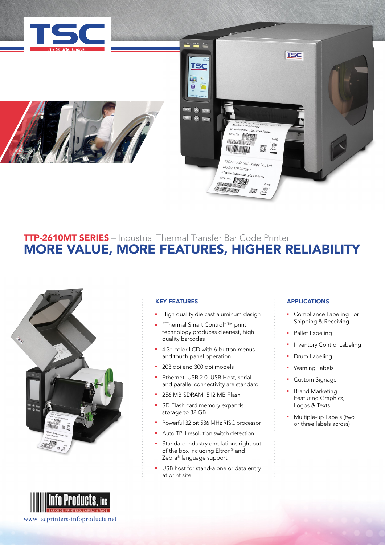





# TTP-2610MT SERIES – Industrial Thermal Transfer Bar Code Printer MORE VALUE, MORE FEATURES, HIGHER RELIABILITY





### KEY FEATURES

- High quality die cast aluminum design
- <sup>n</sup> "Thermal Smart Control"™ print technology produces cleanest, high quality barcodes
- 4.3" color LCD with 6-button menus and touch panel operation
- <sup>2</sup> 203 dpi and 300 dpi models
- Ethernet, USB 2.0, USB Host, serial and parallel connectivity are standard
- 256 MB SDRAM, 512 MB Flash
- SD Flash card memory expands storage to 32 GB
- <sup>n</sup> Powerful 32 bit 536 MHz RISC processor
- Auto TPH resolution switch detection
- Standard industry emulations right out of the box including Eltron® and Zebra® language support
- USB host for stand-alone or data entry at print site

### **APPLICATIONS**

- Compliance Labeling For Shipping & Receiving
- Pallet Labeling
- Inventory Control Labeling
- Drum Labeling
- Warning Labels
- **Custom Signage**
- **Brand Marketing** Featuring Graphics, Logos & Texts
- **Nultiple-up Labels (two** or three labels across)